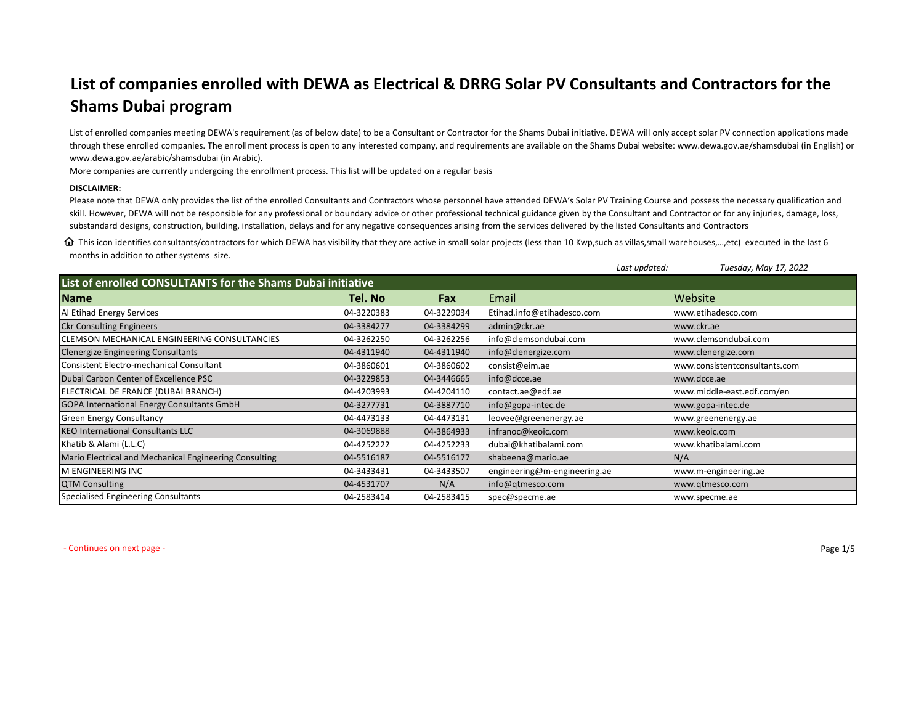## **List of companies enrolled with DEWA as Electrical & DRRG Solar PV Consultants and Contractors for the Shams Dubai program**

List of enrolled companies meeting DEWA's requirement (as of below date) to be a Consultant or Contractor for the Shams Dubai initiative. DEWA will only accept solar PV connection applications made through these enrolled companies. The enrollment process is open to any interested company, and requirements are available on the Shams Dubai website: <www.dewa.gov.ae/shamsdubai>(in English) or <www.dewa.gov.ae/arabic/shamsdubai> (in Arabic).

More companies are currently undergoing the enrollment process. This list will be updated on a regular basis

## **DISCLAIMER:**

Please note that DEWA only provides the list of the enrolled Consultants and Contractors whose personnel have attended DEWA's Solar PV Training Course and possess the necessary qualification and skill. However, DEWA will not be responsible for any professional or boundary advice or other professional technical guidance given by the Consultant and Contractor or for any injuries, damage, loss, substandard designs, construction, building, installation, delays and for any negative consequences arising from the services delivered by the listed Consultants and Contractors

 $\Omega$  This icon identifies consultants/contractors for which DEWA has visibility that they are active in small solar projects (less than 10 Kwp, such as villas, small warehouses,..., etc) executed in the last 6 months in addition to other systems size.

|                                                             |            |            |                              | Last updated: | Tuesday, May 17, 2022         |  |
|-------------------------------------------------------------|------------|------------|------------------------------|---------------|-------------------------------|--|
| List of enrolled CONSULTANTS for the Shams Dubai initiative |            |            |                              |               |                               |  |
| Name                                                        | Tel. No    | Fax        | Email                        |               | Website                       |  |
| Al Etihad Energy Services                                   | 04-3220383 | 04-3229034 | Etihad.info@etihadesco.com   |               | www.etihadesco.com            |  |
| <b>Ckr Consulting Engineers</b>                             | 04-3384277 | 04-3384299 | admin@ckr.ae                 |               | www.ckr.ae                    |  |
| CLEMSON MECHANICAL ENGINEERING CONSULTANCIES                | 04-3262250 | 04-3262256 | info@clemsondubai.com        |               | www.clemsondubai.com          |  |
| <b>Clenergize Engineering Consultants</b>                   | 04-4311940 | 04-4311940 | info@clenergize.com          |               | www.clenergize.com            |  |
| <b>Consistent Electro-mechanical Consultant</b>             | 04-3860601 | 04-3860602 | consist@eim.ae               |               | www.consistentconsultants.com |  |
| Dubai Carbon Center of Excellence PSC                       | 04-3229853 | 04-3446665 | info@dcce.ae                 |               | www.dcce.ae                   |  |
| ELECTRICAL DE FRANCE (DUBAI BRANCH)                         | 04-4203993 | 04-4204110 | contact.ae@edf.ae            |               | www.middle-east.edf.com/en    |  |
| <b>GOPA International Energy Consultants GmbH</b>           | 04-3277731 | 04-3887710 | info@gopa-intec.de           |               | www.gopa-intec.de             |  |
| <b>Green Energy Consultancy</b>                             | 04-4473133 | 04-4473131 | leovee@greenenergy.ae        |               | www.greenenergy.ae            |  |
| <b>KEO International Consultants LLC</b>                    | 04-3069888 | 04-3864933 | infranoc@keoic.com           |               | www.keoic.com                 |  |
| Khatib & Alami (L.L.C)                                      | 04-4252222 | 04-4252233 | dubai@khatibalami.com        |               | www.khatibalami.com           |  |
| Mario Electrical and Mechanical Engineering Consulting      | 04-5516187 | 04-5516177 | shabeena@mario.ae            |               | N/A                           |  |
| M ENGINEERING INC                                           | 04-3433431 | 04-3433507 | engineering@m-engineering.ae |               | www.m-engineering.ae          |  |
| <b>QTM Consulting</b>                                       | 04-4531707 | N/A        | info@qtmesco.com             |               | www.qtmesco.com               |  |
| Specialised Engineering Consultants                         | 04-2583414 | 04-2583415 | spec@specme.ae               |               | www.specme.ae                 |  |

- Continues on next page - Page 1/5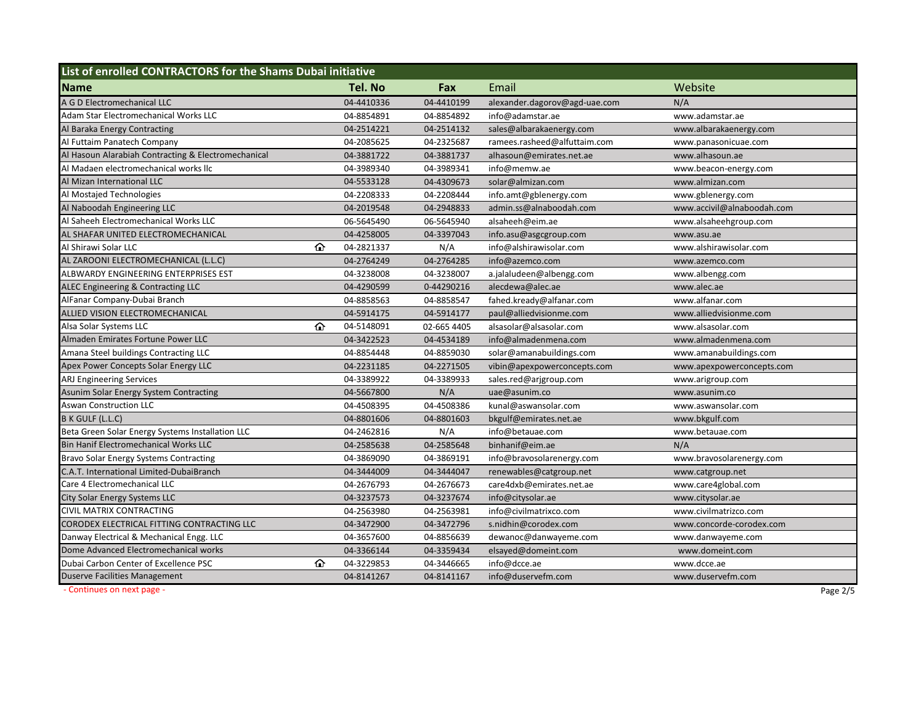| List of enrolled CONTRACTORS for the Shams Dubai initiative |            |             |                               |                            |  |  |
|-------------------------------------------------------------|------------|-------------|-------------------------------|----------------------------|--|--|
| <b>Name</b>                                                 | Tel. No    | Fax         | Email                         | Website                    |  |  |
| A G D Electromechanical LLC                                 | 04-4410336 | 04-4410199  | alexander.dagorov@agd-uae.com | N/A                        |  |  |
| Adam Star Electromechanical Works LLC                       | 04-8854891 | 04-8854892  | info@adamstar.ae              | www.adamstar.ae            |  |  |
| Al Baraka Energy Contracting                                | 04-2514221 | 04-2514132  | sales@albarakaenergy.com      | www.albarakaenergy.com     |  |  |
| Al Futtaim Panatech Company                                 | 04-2085625 | 04-2325687  | ramees.rasheed@alfuttaim.com  | www.panasonicuae.com       |  |  |
| Al Hasoun Alarabiah Contracting & Electromechanical         | 04-3881722 | 04-3881737  | alhasoun@emirates.net.ae      | www.alhasoun.ae            |  |  |
| Al Madaen electromechanical works llc                       | 04-3989340 | 04-3989341  | info@memw.ae                  | www.beacon-energy.com      |  |  |
| Al Mizan International LLC                                  | 04-5533128 | 04-4309673  | solar@almizan.com             | www.almizan.com            |  |  |
| Al Mostajed Technologies                                    | 04-2208333 | 04-2208444  | info.amt@gblenergy.com        | www.gblenergy.com          |  |  |
| Al Naboodah Engineering LLC                                 | 04-2019548 | 04-2948833  | admin.ss@alnaboodah.com       | www.accivil@alnaboodah.com |  |  |
| Al Saheeh Electromechanical Works LLC                       | 06-5645490 | 06-5645940  | alsaheeh@eim.ae               | www.alsaheehgroup.com      |  |  |
| AL SHAFAR UNITED ELECTROMECHANICAL                          | 04-4258005 | 04-3397043  | info.asu@asgcgroup.com        | www.asu.ae                 |  |  |
| Al Shirawi Solar LLC<br>⇧                                   | 04-2821337 | N/A         | info@alshirawisolar.com       | www.alshirawisolar.com     |  |  |
| AL ZAROONI ELECTROMECHANICAL (L.L.C)                        | 04-2764249 | 04-2764285  | info@azemco.com               | www.azemco.com             |  |  |
| ALBWARDY ENGINEERING ENTERPRISES EST                        | 04-3238008 | 04-3238007  | a.jalaludeen@albengg.com      | www.albengg.com            |  |  |
| ALEC Engineering & Contracting LLC                          | 04-4290599 | 0-44290216  | alecdewa@alec.ae              | www.alec.ae                |  |  |
| AlFanar Company-Dubai Branch                                | 04-8858563 | 04-8858547  | fahed.kready@alfanar.com      | www.alfanar.com            |  |  |
| ALLIED VISION ELECTROMECHANICAL                             | 04-5914175 | 04-5914177  | paul@alliedvisionme.com       | www.alliedvisionme.com     |  |  |
| ⇧<br>Alsa Solar Systems LLC                                 | 04-5148091 | 02-665 4405 | alsasolar@alsasolar.com       | www.alsasolar.com          |  |  |
| Almaden Emirates Fortune Power LLC                          | 04-3422523 | 04-4534189  | info@almadenmena.com          | www.almadenmena.com        |  |  |
| Amana Steel buildings Contracting LLC                       | 04-8854448 | 04-8859030  | solar@amanabuildings.com      | www.amanabuildings.com     |  |  |
| Apex Power Concepts Solar Energy LLC                        | 04-2231185 | 04-2271505  | vibin@apexpowerconcepts.com   | www.apexpowerconcepts.com  |  |  |
| ARJ Engineering Services                                    | 04-3389922 | 04-3389933  | sales.red@arjgroup.com        | www.arigroup.com           |  |  |
| Asunim Solar Energy System Contracting                      | 04-5667800 | N/A         | uae@asunim.co                 | www.asunim.co              |  |  |
| Aswan Construction LLC                                      | 04-4508395 | 04-4508386  | kunal@aswansolar.com          | www.aswansolar.com         |  |  |
| B K GULF (L.L.C)                                            | 04-8801606 | 04-8801603  | bkgulf@emirates.net.ae        | www.bkgulf.com             |  |  |
| Beta Green Solar Energy Systems Installation LLC            | 04-2462816 | N/A         | info@betauae.com              | www.betauae.com            |  |  |
| <b>Bin Hanif Electromechanical Works LLC</b>                | 04-2585638 | 04-2585648  | binhanif@eim.ae               | N/A                        |  |  |
| Bravo Solar Energy Systems Contracting                      | 04-3869090 | 04-3869191  | info@bravosolarenergy.com     | www.bravosolarenergy.com   |  |  |
| C.A.T. International Limited-DubaiBranch                    | 04-3444009 | 04-3444047  | renewables@catgroup.net       | www.catgroup.net           |  |  |
| Care 4 Electromechanical LLC                                | 04-2676793 | 04-2676673  | care4dxb@emirates.net.ae      | www.care4global.com        |  |  |
| <b>City Solar Energy Systems LLC</b>                        | 04-3237573 | 04-3237674  | info@citysolar.ae             | www.citysolar.ae           |  |  |
| CIVIL MATRIX CONTRACTING                                    | 04-2563980 | 04-2563981  | info@civilmatrixco.com        | www.civilmatrizco.com      |  |  |
| CORODEX ELECTRICAL FITTING CONTRACTING LLC                  | 04-3472900 | 04-3472796  | s.nidhin@corodex.com          | www.concorde-corodex.com   |  |  |
| Danway Electrical & Mechanical Engg. LLC                    | 04-3657600 | 04-8856639  | dewanoc@danwayeme.com         | www.danwayeme.com          |  |  |
| Dome Advanced Electromechanical works                       | 04-3366144 | 04-3359434  | elsayed@domeint.com           | www.domeint.com            |  |  |
| ⇧<br>Dubai Carbon Center of Excellence PSC                  | 04-3229853 | 04-3446665  | info@dcce.ae                  | www.dcce.ae                |  |  |
| <b>Duserve Facilities Management</b>                        | 04-8141267 | 04-8141167  | info@duservefm.com            | www.duservefm.com          |  |  |
| - Continues on next page -                                  |            |             |                               | Page 2/5                   |  |  |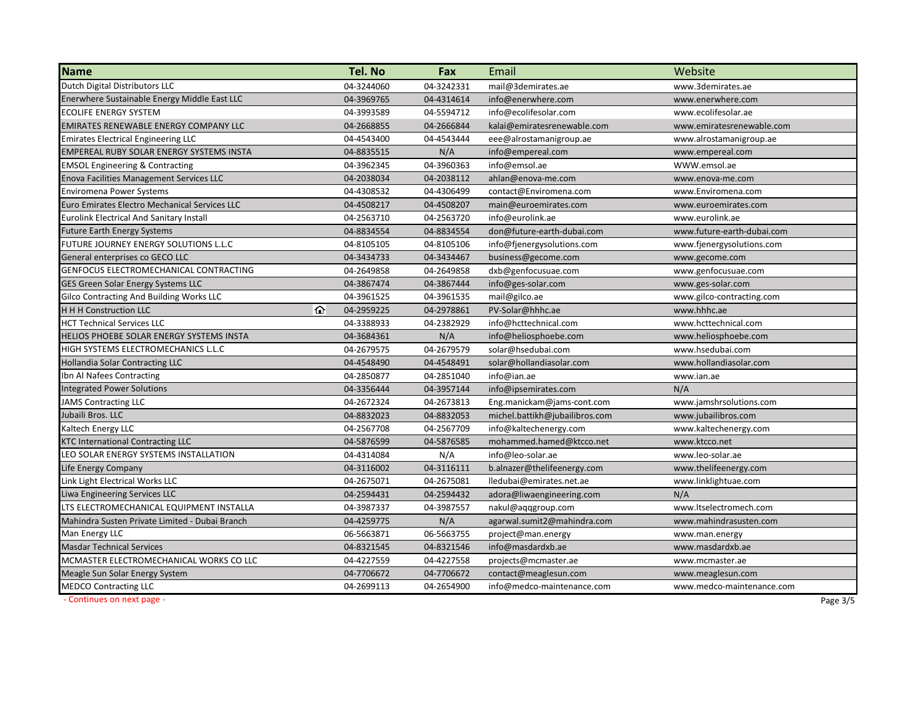| <b>Name</b>                                     | Tel. No    | Fax        | Email                          | Website                    |
|-------------------------------------------------|------------|------------|--------------------------------|----------------------------|
| Dutch Digital Distributors LLC                  | 04-3244060 | 04-3242331 | mail@3demirates.ae             | www.3demirates.ae          |
| Enerwhere Sustainable Energy Middle East LLC    | 04-3969765 | 04-4314614 | info@enerwhere.com             | www.enerwhere.com          |
| <b>ECOLIFE ENERGY SYSTEM</b>                    | 04-3993589 | 04-5594712 | info@ecolifesolar.com          | www.ecolifesolar.ae        |
| EMIRATES RENEWABLE ENERGY COMPANY LLC           | 04-2668855 | 04-2666844 | kalai@emiratesrenewable.com    | www.emiratesrenewable.com  |
| <b>Emirates Electrical Engineering LLC</b>      | 04-4543400 | 04-4543444 | eee@alrostamanigroup.ae        | www.alrostamanigroup.ae    |
| <b>EMPEREAL RUBY SOLAR ENERGY SYSTEMS INSTA</b> | 04-8835515 | N/A        | info@empereal.com              | www.empereal.com           |
| <b>EMSOL Engineering &amp; Contracting</b>      | 04-3962345 | 04-3960363 | info@emsol.ae                  | WWW.emsol.ae               |
| <b>Enova Facilities Management Services LLC</b> | 04-2038034 | 04-2038112 | ahlan@enova-me.com             | www.enova-me.com           |
| <b>Enviromena Power Systems</b>                 | 04-4308532 | 04-4306499 | contact@Enviromena.com         | www.Enviromena.com         |
| Euro Emirates Electro Mechanical Services LLC   | 04-4508217 | 04-4508207 | main@euroemirates.com          | www.euroemirates.com       |
| <b>Eurolink Electrical And Sanitary Install</b> | 04-2563710 | 04-2563720 | info@eurolink.ae               | www.eurolink.ae            |
| <b>Future Earth Energy Systems</b>              | 04-8834554 | 04-8834554 | don@future-earth-dubai.com     | www.future-earth-dubai.com |
| FUTURE JOURNEY ENERGY SOLUTIONS L.L.C           | 04-8105105 | 04-8105106 | info@fjenergysolutions.com     | www.fjenergysolutions.com  |
| General enterprises co GECO LLC                 | 04-3434733 | 04-3434467 | business@gecome.com            | www.gecome.com             |
| GENFOCUS ELECTROMECHANICAL CONTRACTING          | 04-2649858 | 04-2649858 | dxb@genfocusuae.com            | www.genfocusuae.com        |
| GES Green Solar Energy Systems LLC              | 04-3867474 | 04-3867444 | info@ges-solar.com             | www.ges-solar.com          |
| Gilco Contracting And Building Works LLC        | 04-3961525 | 04-3961535 | mail@gilco.ae                  | www.gilco-contracting.com  |
| ⋒<br><b>H H H Construction LLC</b>              | 04-2959225 | 04-2978861 | PV-Solar@hhhc.ae               | www.hhhc.ae                |
| <b>HCT Technical Services LLC</b>               | 04-3388933 | 04-2382929 | info@hcttechnical.com          | www.hcttechnical.com       |
| HELIOS PHOEBE SOLAR ENERGY SYSTEMS INSTA        | 04-3684361 | N/A        | info@heliosphoebe.com          | www.heliosphoebe.com       |
| HIGH SYSTEMS ELECTROMECHANICS L.L.C             | 04-2679575 | 04-2679579 | solar@hsedubai.com             | www.hsedubai.com           |
| <b>Hollandia Solar Contracting LLC</b>          | 04-4548490 | 04-4548491 | solar@hollandiasolar.com       | www.hollandiasolar.com     |
| Ibn Al Nafees Contracting                       | 04-2850877 | 04-2851040 | info@ian.ae                    | www.ian.ae                 |
| <b>Integrated Power Solutions</b>               | 04-3356444 | 04-3957144 | info@ipsemirates.com           | N/A                        |
| <b>JAMS Contracting LLC</b>                     | 04-2672324 | 04-2673813 | Eng.manickam@jams-cont.com     | www.jamshrsolutions.com    |
| Jubaili Bros. LLC                               | 04-8832023 | 04-8832053 | michel.battikh@jubailibros.com | www.jubailibros.com        |
| Kaltech Energy LLC                              | 04-2567708 | 04-2567709 | info@kaltechenergy.com         | www.kaltechenergy.com      |
| <b>KTC International Contracting LLC</b>        | 04-5876599 | 04-5876585 | mohammed.hamed@ktcco.net       | www.ktcco.net              |
| LEO SOLAR ENERGY SYSTEMS INSTALLATION           | 04-4314084 | N/A        | info@leo-solar.ae              | www.leo-solar.ae           |
| Life Energy Company                             | 04-3116002 | 04-3116111 | b.alnazer@thelifeenergy.com    | www.thelifeenergy.com      |
| Link Light Electrical Works LLC                 | 04-2675071 | 04-2675081 | lledubai@emirates.net.ae       | www.linklightuae.com       |
| Liwa Engineering Services LLC                   | 04-2594431 | 04-2594432 | adora@liwaengineering.com      | N/A                        |
| LTS ELECTROMECHANICAL EQUIPMENT INSTALLA        | 04-3987337 | 04-3987557 | nakul@aqqgroup.com             | www.ltselectromech.com     |
| Mahindra Susten Private Limited - Dubai Branch  | 04-4259775 | N/A        | agarwal.sumit2@mahindra.com    | www.mahindrasusten.com     |
| Man Energy LLC                                  | 06-5663871 | 06-5663755 | project@man.energy             | www.man.energy             |
| <b>Masdar Technical Services</b>                | 04-8321545 | 04-8321546 | info@masdardxb.ae              | www.masdardxb.ae           |
| MCMASTER ELECTROMECHANICAL WORKS CO LLC         | 04-4227559 | 04-4227558 | projects@mcmaster.ae           | www.mcmaster.ae            |
| Meagle Sun Solar Energy System                  | 04-7706672 | 04-7706672 | contact@meaglesun.com          | www.meaglesun.com          |
| <b>MEDCO Contracting LLC</b>                    | 04-2699113 | 04-2654900 | info@medco-maintenance.com     | www.medco-maintenance.com  |
| - Continues on next page -                      |            |            |                                | Page 3/5                   |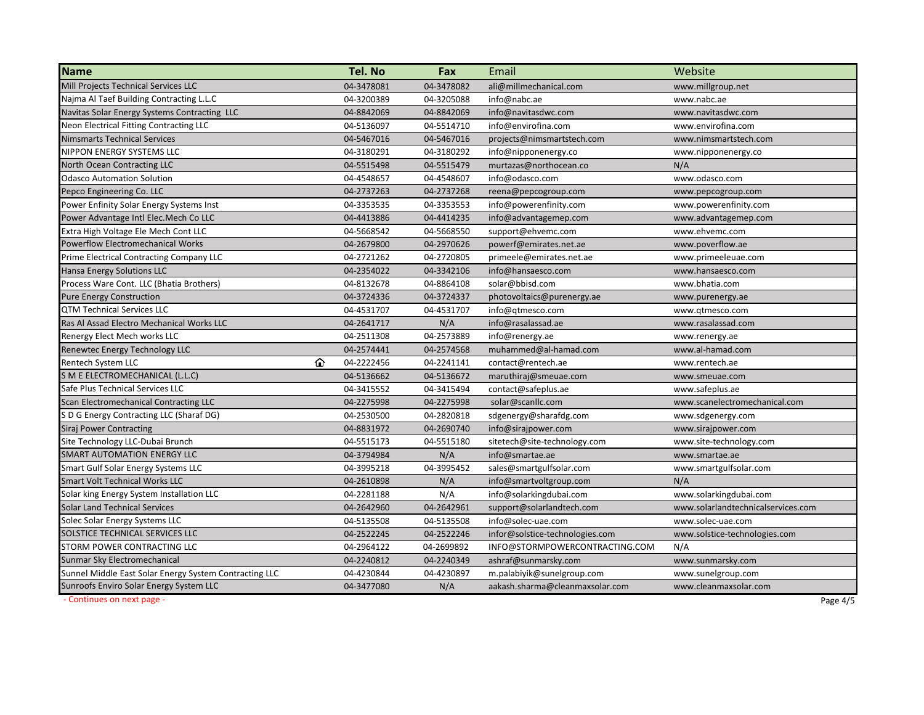| <b>Name</b>                                            | Tel. No         | Fax        | Email                           | Website                            |
|--------------------------------------------------------|-----------------|------------|---------------------------------|------------------------------------|
| <b>Mill Projects Technical Services LLC</b>            | 04-3478081      | 04-3478082 | ali@millmechanical.com          | www.millgroup.net                  |
| Najma Al Taef Building Contracting L.L.C               | 04-3200389      | 04-3205088 | info@nabc.ae                    | www.nabc.ae                        |
| Navitas Solar Energy Systems Contracting LLC           | 04-8842069      | 04-8842069 | info@navitasdwc.com             | www.navitasdwc.com                 |
| Neon Electrical Fitting Contracting LLC                | 04-5136097      | 04-5514710 | info@envirofina.com             | www.envirofina.com                 |
| Nimsmarts Technical Services                           | 04-5467016      | 04-5467016 | projects@nimsmartstech.com      | www.nimsmartstech.com              |
| NIPPON ENERGY SYSTEMS LLC                              | 04-3180291      | 04-3180292 | info@nipponenergy.co            | www.nipponenergy.co                |
| North Ocean Contracting LLC                            | 04-5515498      | 04-5515479 | murtazas@northocean.co          | N/A                                |
| <b>Odasco Automation Solution</b>                      | 04-4548657      | 04-4548607 | info@odasco.com                 | www.odasco.com                     |
| Pepco Engineering Co. LLC                              | 04-2737263      | 04-2737268 | reena@pepcogroup.com            | www.pepcogroup.com                 |
| Power Enfinity Solar Energy Systems Inst               | 04-3353535      | 04-3353553 | info@powerenfinity.com          | www.powerenfinity.com              |
| Power Advantage Intl Elec.Mech Co LLC                  | 04-4413886      | 04-4414235 | info@advantagemep.com           | www.advantagemep.com               |
| Extra High Voltage Ele Mech Cont LLC                   | 04-5668542      | 04-5668550 | support@ehvemc.com              | www.ehvemc.com                     |
| <b>Powerflow Electromechanical Works</b>               | 04-2679800      | 04-2970626 | powerf@emirates.net.ae          | www.poverflow.ae                   |
| Prime Electrical Contracting Company LLC               | 04-2721262      | 04-2720805 | primeele@emirates.net.ae        | www.primeeleuae.com                |
| Hansa Energy Solutions LLC                             | 04-2354022      | 04-3342106 | info@hansaesco.com              | www.hansaesco.com                  |
| Process Ware Cont. LLC (Bhatia Brothers)               | 04-8132678      | 04-8864108 | solar@bbisd.com                 | www.bhatia.com                     |
| <b>Pure Energy Construction</b>                        | 04-3724336      | 04-3724337 | photovoltaics@purenergy.ae      | www.purenergy.ae                   |
| <b>QTM Technical Services LLC</b>                      | 04-4531707      | 04-4531707 | info@qtmesco.com                | www.qtmesco.com                    |
| Ras Al Assad Electro Mechanical Works LLC              | 04-2641717      | N/A        | info@rasalassad.ae              | www.rasalassad.com                 |
| Renergy Elect Mech works LLC                           | 04-2511308      | 04-2573889 | info@renergy.ae                 | www.renergy.ae                     |
| Renewtec Energy Technology LLC                         | 04-2574441      | 04-2574568 | muhammed@al-hamad.com           | www.al-hamad.com                   |
| Rentech System LLC                                     | ⇧<br>04-2222456 | 04-2241141 | contact@rentech.ae              | www.rentech.ae                     |
| S M E ELECTROMECHANICAL (L.L.C)                        | 04-5136662      | 04-5136672 | maruthiraj@smeuae.com           | www.smeuae.com                     |
| Safe Plus Technical Services LLC                       | 04-3415552      | 04-3415494 | contact@safeplus.ae             | www.safeplus.ae                    |
| Scan Electromechanical Contracting LLC                 | 04-2275998      | 04-2275998 | solar@scanllc.com               | www.scanelectromechanical.com      |
| S D G Energy Contracting LLC (Sharaf DG)               | 04-2530500      | 04-2820818 | sdgenergy@sharafdg.com          | www.sdgenergy.com                  |
| <b>Siraj Power Contracting</b>                         | 04-8831972      | 04-2690740 | info@sirajpower.com             | www.sirajpower.com                 |
| Site Technology LLC-Dubai Brunch                       | 04-5515173      | 04-5515180 | sitetech@site-technology.com    | www.site-technology.com            |
| SMART AUTOMATION ENERGY LLC                            | 04-3794984      | N/A        | info@smartae.ae                 | www.smartae.ae                     |
| Smart Gulf Solar Energy Systems LLC                    | 04-3995218      | 04-3995452 | sales@smartgulfsolar.com        | www.smartgulfsolar.com             |
| <b>Smart Volt Technical Works LLC</b>                  | 04-2610898      | N/A        | info@smartvoltgroup.com         | N/A                                |
| Solar king Energy System Installation LLC              | 04-2281188      | N/A        | info@solarkingdubai.com         | www.solarkingdubai.com             |
| <b>Solar Land Technical Services</b>                   | 04-2642960      | 04-2642961 | support@solarlandtech.com       | www.solarlandtechnicalservices.com |
| Solec Solar Energy Systems LLC                         | 04-5135508      | 04-5135508 | info@solec-uae.com              | www.solec-uae.com                  |
| SOLSTICE TECHNICAL SERVICES LLC                        | 04-2522245      | 04-2522246 | infor@solstice-technologies.com | www.solstice-technologies.com      |
| STORM POWER CONTRACTING LLC                            | 04-2964122      | 04-2699892 | INFO@STORMPOWERCONTRACTING.COM  | N/A                                |
| Sunmar Sky Electromechanical                           | 04-2240812      | 04-2240349 | ashraf@sunmarsky.com            | www.sunmarsky.com                  |
| Sunnel Middle East Solar Energy System Contracting LLC | 04-4230844      | 04-4230897 | m.palabiyik@sunelgroup.com      | www.sunelgroup.com                 |
| Sunroofs Enviro Solar Energy System LLC                | 04-3477080      | N/A        | aakash.sharma@cleanmaxsolar.com | www.cleanmaxsolar.com              |
| - Continues on next page -                             |                 |            |                                 | Page 4/5                           |